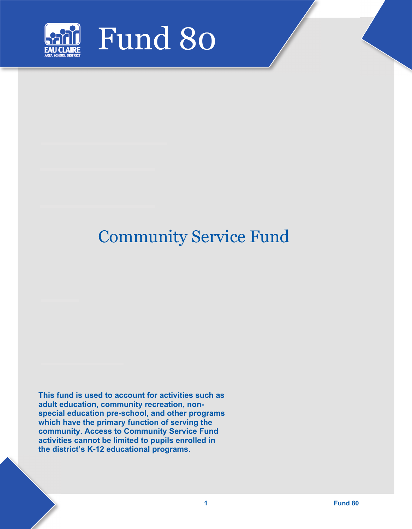

## Community Service Fund

**This fund is used to account for activities such as adult education, community recreation, nonspecial education pre-school, and other programs which have the primary function of serving the community. Access to Community Service Fund activities cannot be limited to pupils enrolled in the district's K-12 educational programs.**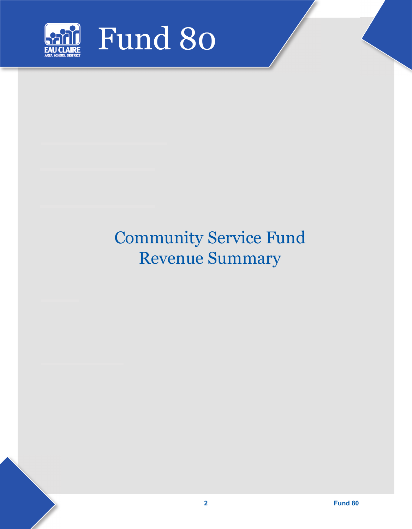

# Community Service Fund Revenue Summary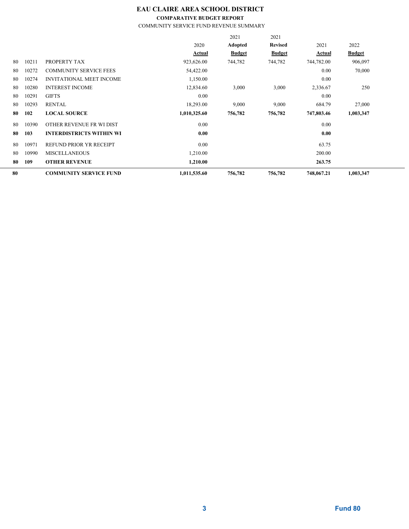### **EAU CLAIRE AREA SCHOOL DISTRICT**

**COMPARATIVE BUDGET REPORT**

COMMUNITY SERVICE FUND REVENUE SUMMARY

|    |       |                                 |              | 2021          | 2021           |               |               |
|----|-------|---------------------------------|--------------|---------------|----------------|---------------|---------------|
|    |       |                                 | 2020         | Adopted       | <b>Revised</b> | 2021          | 2022          |
|    |       |                                 | Actual       | <b>Budget</b> | <b>Budget</b>  | <b>Actual</b> | <b>Budget</b> |
| 80 | 10211 | PROPERTY TAX                    | 923,626.00   | 744,782       | 744,782        | 744,782.00    | 906,097       |
| 80 | 10272 | <b>COMMUNITY SERVICE FEES</b>   | 54,422.00    |               |                | 0.00          | 70,000        |
| 80 | 10274 | <b>INVITATIONAL MEET INCOME</b> | 1,150.00     |               |                | 0.00          |               |
| 80 | 10280 | <b>INTEREST INCOME</b>          | 12,834.60    | 3,000         | 3,000          | 2,336.67      | 250           |
| 80 | 10291 | <b>GIFTS</b>                    | 0.00         |               |                | 0.00          |               |
| 80 | 10293 | <b>RENTAL</b>                   | 18,293.00    | 9,000         | 9,000          | 684.79        | 27,000        |
| 80 | 102   | <b>LOCAL SOURCE</b>             | 1,010,325.60 | 756,782       | 756,782        | 747,803.46    | 1,003,347     |
| 80 | 10390 | OTHER REVENUE FR WI DIST        | 0.00         |               |                | 0.00          |               |
| 80 | 103   | <b>INTERDISTRICTS WITHIN WI</b> | 0.00         |               |                | 0.00          |               |
| 80 | 10971 | REFUND PRIOR YR RECEIPT         | 0.00         |               |                | 63.75         |               |
| 80 | 10990 | <b>MISCELLANEOUS</b>            | 1,210.00     |               |                | 200.00        |               |
| 80 | 109   | <b>OTHER REVENUE</b>            | 1,210.00     |               |                | 263.75        |               |
| 80 |       | <b>COMMUNITY SERVICE FUND</b>   | 1,011,535.60 | 756,782       | 756,782        | 748,067.21    | 1,003,347     |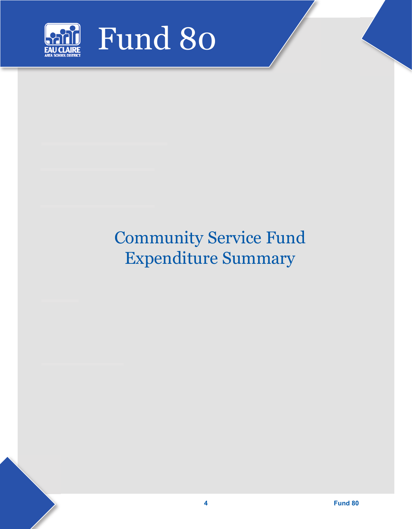

# Community Service Fund Expenditure Summary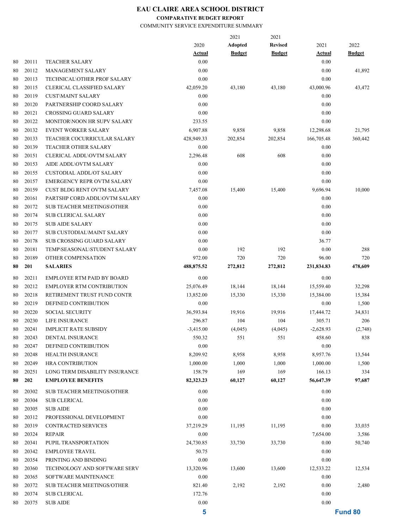### **EAU CLAIRE AREA SCHOOL DISTRICT**

#### **COMPARATIVE BUDGET REPORT**

COMMUNITY SERVICE EXPENDITURE SUMMARY

|    |       |                                   |               | 2021          | 2021           |               |               |
|----|-------|-----------------------------------|---------------|---------------|----------------|---------------|---------------|
|    |       |                                   | 2020          | Adopted       | <b>Revised</b> | 2021          | 2022          |
|    |       |                                   | <u>Actual</u> | <b>Budget</b> | <b>Budget</b>  | <u>Actual</u> | <b>Budget</b> |
| 80 | 20111 | <b>TEACHER SALARY</b>             | 0.00          |               |                | 0.00          |               |
| 80 | 20112 | MANAGEMENT SALARY                 | 0.00          |               |                | 0.00          | 41,892        |
| 80 | 20113 | TECHNICAL\OTHER PROF SALARY       | 0.00          |               |                | 0.00          |               |
| 80 | 20115 | <b>CLERICAL CLASSIFIED SALARY</b> | 42,059.20     | 43,180        | 43,180         | 43,000.96     | 43,472        |
| 80 | 20119 | <b>CUST\MAINT SALARY</b>          | 0.00          |               |                | 0.00          |               |
| 80 | 20120 | PARTNERSHIP COORD SALARY          | 0.00          |               |                | 0.00          |               |
| 80 | 20121 | <b>CROSSING GUARD SALARY</b>      | 0.00          |               |                | 0.00          |               |
| 80 | 20122 | MONITOR\NOON HR SUPV SALARY       | 233.55        |               |                | 0.00          |               |
| 80 | 20132 | <b>EVENT WORKER SALARY</b>        | 6,907.88      | 9,858         | 9,858          | 12,298.68     | 21,795        |
| 80 | 20133 | TEACHER COCURRICULAR SALARY       | 428,949.33    | 202,854       | 202,854        | 166,705.48    | 360,442       |
| 80 | 20139 | TEACHER OTHER SALARY              | 0.00          |               |                | 0.00          |               |
| 80 | 20151 | <b>CLERICAL ADDL\OVTM SALARY</b>  | 2,296.48      | 608           | 608            | 0.00          |               |
| 80 | 20153 | AIDE ADDL\OVTM SALARY             | 0.00          |               |                | 0.00          |               |
| 80 | 20155 | <b>CUSTODIAL ADDL/OT SALARY</b>   | 0.00          |               |                | 0.00          |               |
| 80 | 20157 | <b>EMERGENCY REPR OVTM SALARY</b> | 0.00          |               |                | 0.00          |               |
| 80 | 20159 | CUST BLDG RENT OVTM SALARY        | 7,457.08      | 15,400        | 15,400         | 9,696.94      | 10,000        |
| 80 | 20161 | PARTSHP CORD ADDL\OVTM SALARY     | 0.00          |               |                | 0.00          |               |
| 80 | 20172 | <b>SUB TEACHER MEETINGS\OTHER</b> | 0.00          |               |                | 0.00          |               |
| 80 | 20174 | <b>SUB CLERICAL SALARY</b>        | 0.00          |               |                | 0.00          |               |
| 80 | 20175 | <b>SUB AIDE SALARY</b>            | 0.00          |               |                | 0.00          |               |
| 80 | 20177 | <b>SUB CUSTODIAL\MAINT SALARY</b> | 0.00          |               |                | 0.00          |               |
| 80 | 20178 | <b>SUB CROSSING GUARD SALARY</b>  | 0.00          |               |                | 36.77         |               |
| 80 | 20181 | TEMP\SEASONAL\STUDENT SALARY      | 0.00          | 192           | 192            | 0.00          | 288           |
| 80 | 20189 | OTHER COMPENSATION                | 972.00        | 720           | 720            | 96.00         | 720           |
| 80 | 201   | <b>SALARIES</b>                   | 488,875.52    | 272,812       | 272,812        | 231,834.83    | 478,609       |
|    |       |                                   |               |               |                |               |               |
| 80 | 20211 | EMPLOYEE RTM PAID BY BOARD        | 0.00          |               |                | 0.00          |               |
| 80 | 20212 | <b>EMPLOYER RTM CONTRIBUTION</b>  | 25,076.49     | 18,144        | 18,144         | 15,559.40     | 32,298        |
| 80 | 20218 | RETIREMENT TRUST FUND CONTR       | 13,852.00     | 15,330        | 15,330         | 15,384.00     | 15,384        |
| 80 | 20219 | DEFINED CONTRIBUTION              | 0.00          |               |                | 0.00          | 1,500         |
| 80 | 20220 | <b>SOCIAL SECURITY</b>            | 36,593.84     | 19,916        | 19,916         | 17,444.72     | 34,831        |
| 80 | 20230 | LIFE INSURANCE                    | 296.87        | 104           | 104            | 305.71        | 206           |
| 80 | 20241 | <b>IMPLICIT RATE SUBSIDY</b>      | $-3,415.00$   | (4,045)       | (4,045)        | $-2,628.93$   | (2,748)       |
| 80 | 20243 | DENTAL INSURANCE                  | 550.32        | 551           | 551            | 458.60        | 838           |
| 80 | 20247 | DEFINED CONTRIBUTION              | $0.00\,$      |               |                | 0.00          |               |
| 80 | 20248 | HEALTH INSURANCE                  | 8,209.92      | 8,958         | 8,958          | 8,957.76      | 13,544        |
| 80 | 20249 | <b>HRA CONTRIBUTION</b>           | 1,000.00      | 1,000         | 1,000          | 1,000.00      | 1,500         |
| 80 | 20251 | LONG TERM DISABILITY INSURANCE    | 158.79        | 169           | 169            | 166.13        | 334           |
| 80 | 202   | <b>EMPLOYEE BENEFITS</b>          | 82,323.23     | 60,127        | 60,127         | 56,647.39     | 97,687        |
| 80 | 20302 | <b>SUB TEACHER MEETINGS/OTHER</b> | 0.00          |               |                | 0.00          |               |
| 80 | 20304 | <b>SUB CLERICAL</b>               | 0.00          |               |                | 0.00          |               |
| 80 | 20305 | <b>SUB AIDE</b>                   | 0.00          |               |                | 0.00          |               |
| 80 | 20312 | PROFESSIONAL DEVELOPMENT          | 0.00          |               |                | 0.00          |               |
| 80 | 20319 | <b>CONTRACTED SERVICES</b>        | 37,219.29     | 11,195        | 11,195         | 0.00          | 33,035        |
| 80 | 20324 | <b>REPAIR</b>                     | 0.00          |               |                | 7,654.00      | 3,586         |
| 80 | 20341 | PUPIL TRANSPORTATION              | 24,730.85     | 33,730        | 33,730         | 0.00          | 50,740        |
|    | 20342 |                                   |               |               |                | 0.00          |               |
| 80 |       | <b>EMPLOYEE TRAVEL</b>            | 50.75         |               |                |               |               |
| 80 | 20354 | PRINTING AND BINDING              | 0.00          |               |                | 0.00          |               |
| 80 | 20360 | TECHNOLOGY AND SOFTWARE SERV      | 13,320.96     | 13,600        | 13,600         | 12,533.22     | 12,534        |
| 80 | 20365 | SOFTWARE MAINTENANCE              | 0.00          |               |                | 0.00          |               |
| 80 | 20372 | <b>SUB TEACHER MEETINGS/OTHER</b> | 821.40        | 2,192         | 2,192          | 0.00          | 2,480         |
| 80 | 20374 | <b>SUB CLERICAL</b>               | 172.76        |               |                | 0.00          |               |
| 80 | 20375 | <b>SUB AIDE</b>                   | 0.00          |               |                | 0.00          |               |